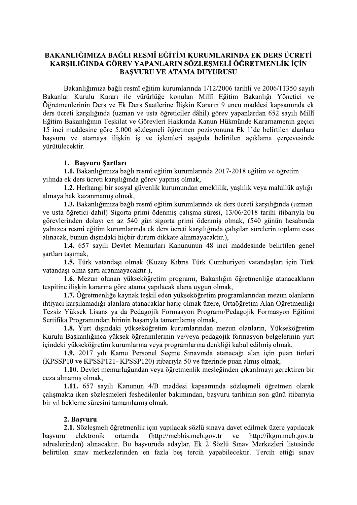# BAKANLIĞIMIZA BAĞLI RESMÎ EĞİTİM KURUMLARINDA EK DERS ÜCRETİ KARSILIĞINDA GÖREV YAPANLARIN SÖZLESMELİ ÖĞRETMENLİK İCİN **BASVURU VE ATAMA DUYURUSU**

Bakanlığımıza bağlı resmî eğitim kurumlarında 1/12/2006 tarihli ve 2006/11350 sayılı Bakanlar Kurulu Kararı ile yürürlüğe konulan Millî Eğitim Bakanlığı Yönetici ve Öğretmenlerinin Ders ve Ek Ders Saatlerine İlişkin Kararın 9 uncu maddesi kapsamında ek ders ücreti karşılığında (uzman ve usta öğreticiler dâhil) görev yapanlardan 652 sayılı Millî Eğitim Bakanlığının Teşkilat ve Görevleri Hakkında Kanun Hükmünde Kararnamenin geçici 15 inci maddesine göre 5.000 sözleşmeli öğretmen pozisyonuna Ek 1'de belirtilen alanlara başvuru ve atamaya ilişkin iş ve işlemleri aşağıda belirtilen açıklama çerçevesinde yürütülecektir.

#### 1. Başvuru Şartları

1.1. Bakanlığımıza bağlı resmî eğitim kurumlarında 2017-2018 eğitim ve öğretim yılında ek ders ücreti karşılığında görev yapmış olmak,

1.2. Herhangi bir sosyal güvenlik kurumundan emeklilik, yaşlılık veya malullük aylığı almaya hak kazanmamış olmak,

1.3. Bakanlığımıza bağlı resmî eğitim kurumlarında ek ders ücreti karşılığında (uzman ve usta öğretici dahil) Sigorta primi ödenmiş çalışma süresi, 13/06/2018 tarihi itibarıyla bu görevlerinden dolayı en az 540 gün sigorta primi ödenmiş olmak, (540 günün hesabında valnızca resmi eğitim kurumlarında ek ders ücreti karşılığında çalışılan sürelerin toplamı esas alınacak, bunun dışındaki hiçbir durum dikkate alınmayacaktır.),

1.4. 657 sayılı Devlet Memurları Kanununun 48 inci maddesinde belirtilen genel şartları taşımak,

1.5. Türk vatandaşı olmak (Kuzey Kıbrıs Türk Cumhuriyeti vatandaşları için Türk vatandaşı olma şartı aranmayacaktır.),

1.6. Mezun olunan yükseköğretim programı, Bakanlığın öğretmenliğe atanacakların tespitine ilişkin kararına göre atama yapılacak alana uygun olmak,

1.7. Öğretmenliğe kaynak teşkil eden yükseköğretim programlarından mezun olanların ihtiyacı karşılamadığı alanlara atanacaklar hariç olmak üzere, Ortaöğretim Alan Öğretmenliği Tezsiz Yüksek Lisans ya da Pedagojik Formasyon Programı/Pedagojik Formasyon Eğitimi Sertifika Programından birinin başarıyla tamamlamış olmak,

1.8. Yurt dışındaki yükseköğretim kurumlarından mezun olanların, Yükseköğretim Kurulu Başkanlığınca yüksek öğrenimlerinin ve/veya pedagojik formasyon belgelerinin yurt içindeki yükseköğretim kurumlarına veya programlarına denkliği kabul edilmiş olmak,

1.9. 2017 yılı Kamu Personel Secme Sınavında atanacağı alan için puan türleri (KPSSP10 ve KPSSP121- KPSSP120) itibarıyla 50 ve üzerinde puan almış olmak,

1.10. Devlet memurluğundan veya öğretmenlik mesleğinden çıkarılmayı gerektiren bir ceza almamis olmak.

1.11. 657 sayılı Kanunun 4/B maddesi kapsamında sözleşmeli öğretmen olarak çalışmakta iken sözleşmeleri feshedilenler bakımından, başvuru tarihinin son günü itibarıyla bir yıl bekleme süresini tamamlamış olmak.

#### 2. Basvuru

2.1. Sözleşmeli öğretmenlik için yapılacak sözlü sınava davet edilmek üzere yapılacak (http://mebbis.meb.gov.tr basvuru elektronik ortamda ve http://ikgm.meb.gov.tr adreslerinden) alınacaktır. Bu başvuruda adaylar, Ek 2 Sözlü Sınav Merkezleri listesinde belirtilen sınav merkezlerinden en fazla bes tercih yapabilecektir. Tercih ettiği sınav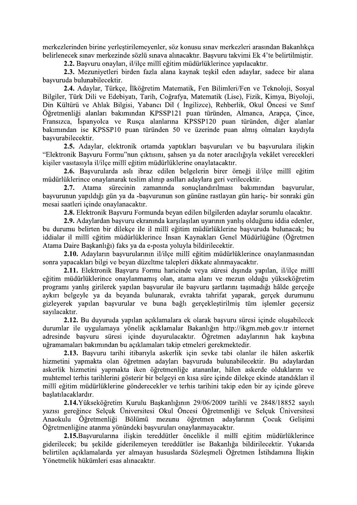merkezlerinden birine yerleştirilemeyenler, söz konusu sınav merkezleri arasından Bakanlıkça belirlenecek sınav merkezinde sözlü sınava alınacaktır. Basvuru takvimi Ek 4'te belirtilmiştir.

2.2. Basvuru onavları, il/ilce millî eğitim müdürlüklerince vapılacaktır.

2.3. Mezuniyetleri birden fazla alana kaynak teskil eden adaylar, sadece bir alana basvuruda bulunabilecektir.

2.4. Adaylar, Türkçe, İlköğretim Matematik, Fen Bilimleri/Fen ve Teknoloji, Sosyal Bilgiler, Türk Dili ve Edebiyatı, Tarih, Coğrafya, Matematik (Lise), Fizik, Kimya, Biyoloji, Din Kültürü ve Ahlak Bilgisi, Yabancı Dil ( İngilizce), Rehberlik, Okul Öncesi ve Sınıf Öğretmenliği alanları bakımından KPSSP121 puan türünden, Almanca, Arapça, Çince, Fransızca, İspanyolca ve Rusça alanlarına KPSSP120 puan türünden, diğer alanlar bakımından ise KPSSP10 puan türünden 50 ve üzerinde puan almış olmaları kavdıyla basvurabilecektir.

2.5. Adaylar, elektronik ortamda yaptıkları başvuruları ve bu başvurulara ilişkin "Elektronik Basvuru Formu"nun çıktısını, sahsen ya da noter aracılığıyla vekâlet verecekleri kisiler vasıtasıyla il/ilce millî eğitim müdürlüklerine onaylatacaktır.

2.6. Başvurularda aslı ibraz edilen belgelerin birer örneği il/ilçe millî eğitim müdürlüklerince onaylanarak teslim alınıp asılları adaylara geri verilecektir.

Atama sürecinin zamanında sonuclandırılması bakımından basvurular,  $2.7.$ başvurunun yapıldığı gün ya da -başvurunun son gününe rastlayan gün hariç- bir sonraki gün mesai saatleri içinde onaylanacaktır.

2.8. Elektronik Başvuru Formunda beyan edilen bilgilerden adaylar sorumlu olacaktır.

2.9. Adaylardan basvuru ekranında karşılasılan uyarının yanlış olduğunu iddia edenler, bu durumu belirten bir dilekçe ile il millî eğitim müdürlüklerine başvuruda bulunacak; bu iddialar il millî eğitim müdürlüklerince İnsan Kaynakları Genel Müdürlüğüne (Öğretmen Atama Daire Başkanlığı) faks ya da e-posta yoluyla bildirilecektir.

2.10. Adayların basvurularının il/ilce millî eğitim müdürlüklerince onaylanmasından sonra yapacakları bilgi ve beyan düzeltme talepleri dikkate alınmayacaktır.

2.11. Elektronik Başvuru Formu haricinde veya süresi dışında yapılan, il/ilçe millî eğitim müdürlüklerince onaylanmamış olan, atama alanı ve mezun olduğu yükseköğretim programı yanlış girilerek yapılan başvurular ile başvuru şartlarını taşımadığı hâlde gerçeğe aykırı belgeyle ya da beyanda bulunarak, evrakta tahrifat yaparak, gerçek durumunu gizleyerek yapılan başvurular ve buna bağlı gerçekleştirilmiş tüm işlemler geçersiz sayılacaktır.

2.12. Bu duyuruda yapılan açıklamalara ek olarak başvuru süresi içinde oluşabilecek durumlar ile uygulamaya yönelik açıklamalar Bakanlığın http://ikgm.meb.gov.tr internet adresinde başvuru süresi içinde duyurulacaktır. Öğretmen adaylarının hak kaybına uğramamaları bakımından bu açıklamaları takip etmeleri gerekmektedir.

2.13. Basvuru tarihi itibarıyla askerlik için sevke tabi olanlar ile hâlen askerlik hizmetini yapmakta olan öğretmen adayları başvuruda bulunabilecektir. Bu adaylardan askerlik hizmetini yapmakta iken öğretmenliğe atananlar, hâlen askerde olduklarını ve muhtemel terhis tarihlerini gösterir bir belgeyi en kısa süre içinde dilekçe ekinde atandıkları il millî eğitim müdürlüklerine gönderecekler ve terhis tarihini takip eden bir ay içinde göreve baslatılacaklardır.

2.14. Yükseköğretim Kurulu Başkanlığının 29/06/2009 tarihli ve 2848/18852 sayılı vazisi gereğince Selcuk Üniversitesi Okul Öncesi Öğretmenliği ve Selcuk Üniversitesi Anaokulu Öğretmenliği Bölümü mezunu öğretmen adaylarının Cocuk Gelisimi Öğretmenliğine atanma yönündeki başvuruları onaylanmayacaktır.

2.15. Başvurularına ilişkin tereddütler öncelikle il millî eğitim müdürlüklerince giderilecek: bu sekilde giderilemeven tereddütler ise Bakanlığa bildirilecektir. Yukarıda belirtilen açıklamalarda yer almayan hususlarda Sözlesmeli Öğretmen İstihdamına İliskin Yönetmelik hükümleri esas alınacaktır.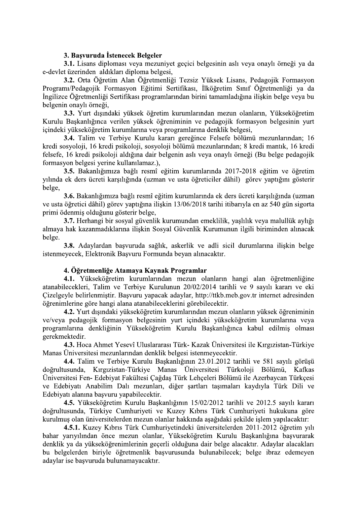#### 3. Başvuruda İstenecek Belgeler

3.1. Lisans diploması veva mezunivet gecici belgesinin aslı veva onavlı örneği va da e-devlet üzerinden aldıkları diploma belgesi,

3.2. Orta Öğretim Alan Öğretmenliği Tezsiz Yüksek Lisans, Pedagojik Formasyon Programı/Pedagojik Formasyon Eğitimi Sertifikası, İlköğretim Sınıf Öğretmenliği ya da İngilizce Öğretmenliği Sertifikası programlarından birini tamamladığına ilişkin belge veya bu belgenin onavlı örneği.

3.3. Yurt dışındaki yüksek öğretim kurumlarından mezun olanların, Yükseköğretim Kurulu Başkanlığınca verilen yüksek öğreniminin ve pedagojik formasyon belgesinin yurt içindeki yükseköğretim kurumlarına veya programlarına denklik belgesi,

3.4. Talim ve Terbiye Kurulu kararı gereğince Felsefe bölümü mezunlarından; 16 kredi sosyoloji, 16 kredi psikoloji, sosyoloji bölümü mezunlarından; 8 kredi mantık, 16 kredi felsefe, 16 kredi psikoloji aldığına dair belgenin aslı veya onaylı örneği (Bu belge pedagojik formasyon belgesi yerine kullanılamaz.),

3.5. Bakanlığımıza bağlı resmî eğitim kurumlarında 2017-2018 eğitim ve öğretim yılında ek ders ücreti karşılığında (uzman ve usta öğreticiler dâhil) görev yaptığını gösterir belge.

3.6. Bakanlığımıza bağlı resmî eğitim kurumlarında ek ders ücreti karşılığında (uzman ve usta öğretici dâhil) görev yaptığına ilişkin 13/06/2018 tarihi itibarıyla en az 540 gün sigorta primi ödenmiş olduğunu gösterir belge,

3.7. Herhangi bir sosyal güvenlik kurumundan emeklilik, yaslılık veya malullük aylığı almaya hak kazanmadıklarına ilişkin Sosyal Güvenlik Kurumunun ilgili biriminden alınacak belge.

3.8. Adaylardan başvuruda sağlık, askerlik ve adli sicil durumlarına ilişkin belge istenmeyecek, Elektronik Basvuru Formunda beyan alınacaktır.

#### 4. Öğretmenliğe Atamaya Kaynak Programlar

4.1. Yükseköğretim kurumlarından mezun olanların hangi alan öğretmenliğine atanabilecekleri, Talim ve Terbiye Kurulunun 20/02/2014 tarihli ve 9 sayılı kararı ve eki Cizelgeyle belirlenmiştir. Başvuru yapacak adaylar, http://ttkb.meb.gov.tr internet adresinden öğrenimlerine göre hangi alana atanabileceklerini görebilecektir.

4.2. Yurt dışındaki yükseköğretim kurumlarından mezun olanların yüksek öğreniminin ve/veya pedagojik formasyon belgesinin yurt içindeki yükseköğretim kurumlarına veya programlarına denkliğinin Yükseköğretim Kurulu Baskanlığınca kabul edilmiş olması gerekmektedir.

4.3. Hoca Ahmet Yesevî Uluslararası Türk- Kazak Üniversitesi ile Kırgızistan-Türkiye Manas Üniversitesi mezunlarından denklik belgesi istenmeyecektir.

4.4. Talim ve Terbiye Kurulu Başkanlığının 23.01.2012 tarihli ve 581 sayılı görüşü doğrultusunda, Kırgızistan-Türkiye Manas Üniversitesi Türkoloji Bölümü, Kafkas Üniversitesi Fen- Edebiyat Fakültesi Çağdaş Türk Lehçeleri Bölümü ile Azerbaycan Türkçesi ve Edebiyatı Anabilim Dalı mezunları, diğer şartları taşımaları kaydıyla Türk Dili ve Edebiyatı alanına başvuru yapabilecektir.

4.5. Yükseköğretim Kurulu Başkanlığının 15/02/2012 tarihli ve 2012.5 sayılı kararı doğrultusunda, Türkiye Cumhuriyeti ve Kuzey Kıbrıs Türk Cumhuriyeti hukukuna göre kurulmus olan üniversitelerden mezun olanlar hakkında asağıdaki sekilde islem yapılacaktır:

4.5.1. Kuzey Kıbrıs Türk Cumhuriyetindeki üniversitelerden 2011-2012 öğretim yılı bahar yarıyılından önce mezun olanlar, Yükseköğretim Kurulu Başkanlığına başvurarak denklik va da vükseköğrenimlerinin gecerli olduğuna dair belge alacaktır. Adavlar alacakları bu belgelerden biriyle öğretmenlik basvurusunda bulunabilecek; belge ibraz edemeyen adaylar ise başvuruda bulunamayacaktır.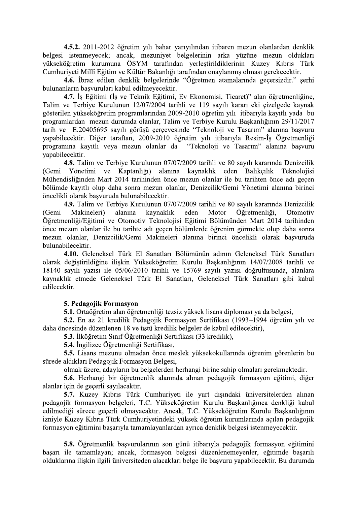4.5.2. 2011-2012 öğretim yılı bahar yarıyılından itibaren mezun olanlardan denklik belgesi istenmeyecek; ancak, mezuniyet belgelerinin arka yüzüne mezun oldukları vükseköğretim kurumuna ÖSYM tarafından verlestirildiklerinin Kuzey Kıbrıs Türk Cumhuriyeti Millî Eğitim ve Kültür Bakanlığı tarafından onaylanmış olması gerekecektir.

4.6. İbraz edilen denklik belgelerinde "Öğretmen atamalarında geçersizdir." şerhi bulunanların başvuruları kabul edilmeyecektir.

4.7. İs Eğitimi (İş ve Teknik Eğitimi, Ev Ekonomisi, Ticaret)" alan öğretmenliğine, Talim ve Terbiye Kurulunun 12/07/2004 tarihli ve 119 sayılı kararı eki çizelgede kaynak gösterilen yükseköğretim programlarından 2009-2010 öğretim yılı itibarıyla kayıtlı yada bu programlardan mezun durumda olanlar, Talim ve Terbiye Kurulu Başkanlığının 29/11/2017 tarih ve E.20405695 sayılı görüşü çerçevesinde "Teknoloji ve Tasarım" alanına başvuru yapabilecektir. Diğer taraftan, 2009-2010 öğretim yılı itibarıyla Resim-İş Öğretmenliği programina kayitli veya mezun olanlar da "Teknoloji ve Tasarim" alanına başvuru vapabilecektir.

4.8. Talim ve Terbiye Kurulunun 07/07/2009 tarihli ve 80 sayılı kararında Denizcilik (Gemi Yönetimi ve Kaptanlığı) alanına kaynaklık eden Balıkçılık Teknolojisi Mühendisliginden Mart 2014 tarihinden önce mezun olanlar ile bu tarihten önce adı geçen bölümde kavıtlı olup daha sonra mezun olanlar, Denizcilik/Gemi Yönetimi alanına birinci öncelikli olarak başvuruda bulunabilecektir.

4.9. Talim ve Terbiye Kurulunun 07/07/2009 tarihli ve 80 sayılı kararında Denizcilik Makineleri) Öğretmenliği, alanına kaynaklık eden Motor (Gemi Otomotiv Öğretmenliği/Eğitimi ve Otomotiv Teknolojisi Eğitimi Bölümünden Mart 2014 tarihinden önce mezun olanlar ile bu tarihte adı geçen bölümlerde öğrenim görmekte olup daha sonra mezun olanlar, Denizcilik/Gemi Makineleri alanına birinci öncelikli olarak başvuruda bulunabilecektir.

4.10. Geleneksel Türk El Sanatları Bölümünün adının Geleneksel Türk Sanatları olarak değiştirildiğine ilişkin Yükseköğretim Kurulu Başkanlığının 14/07/2008 tarihli ve 18140 sayılı yazısı ile 05/06/2010 tarihli ve 15769 sayılı yazısı doğrultusunda, alanlara kaynaklık etmede Geleneksel Türk El Sanatları, Geleneksel Türk Sanatları gibi kabul edilecektir.

#### 5. Pedagojik Formasyon

5.1. Ortaöğretim alan öğretmenliği tezsiz yüksek lisans diploması ya da belgesi,

5.2. En az 21 kredilik Pedagojik Formasyon Sertifikası (1993–1994 öğretim yılı ve daha öncesinde düzenlenen 18 ve üstü kredilik belgeler de kabul edilecektir),

5.3. İlköğretim Sınıf Öğretmenliği Sertifikası (33 kredilik),

5.4. İngilizce Öğretmenliği Sertifikası,

5.5. Lisans mezunu olmadan önce meslek yüksekokullarında öğrenim görenlerin bu sürede aldıkları Pedagojik Formasyon Belgesi,

olmak üzere, adayların bu belgelerden herhangi birine sahip olmaları gerekmektedir.

5.6. Herhangi bir öğretmenlik alanında alınan pedagojik formasyon eğitimi, diğer alanlar için de geçerli sayılacaktır.

5.7. Kuzey Kıbrıs Türk Cumhuriyeti ile yurt dışındaki üniversitelerden alınan pedagojik formasyon belgeleri, T.C. Yükseköğretim Kurulu Başkanlığınca denkliği kabul edilmediği sürece geçerli olmayacaktır. Ancak, T.C. Yükseköğretim Kurulu Başkanlığının izniyle Kuzey Kıbrıs Türk Cumhuriyetindeki yüksek öğretim kurumlarında açılan pedagojik formasyon eğitimini başarıyla tamamlayanlardan ayrıca denklik belgesi istenmeyecektir.

5.8. Öğretmenlik başvurularının son günü itibarıyla pedagojik formasyon eğitimini basarı ile tamamlayan; ancak, formasyon belgesi düzenlenemeyenler, eğitimde basarılı olduklarına ilişkin ilgili üniversiteden alacakları belge ile başvuru yapabilecektir. Bu durumda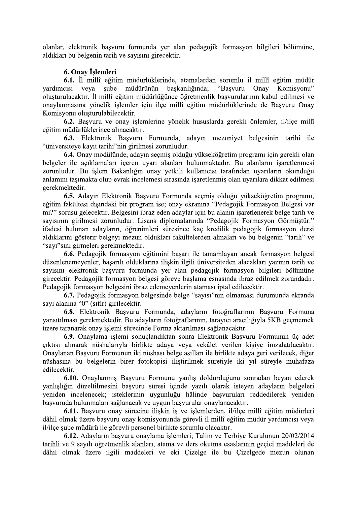olanlar, elektronik başvuru formunda yer alan pedagojik formasyon bilgileri bölümüne, aldıkları bu belgenin tarih ve sayısını girecektir.

# 6. Onav İslemleri

6.1. İl millî eğitim müdürlüklerinde, atamalardan sorumlu il millî eğitim müdür vardimeisi veva sube müdürünün başkanlığında; "Başvuru Onay Komisyonu" oluşturulacaktır. İl millî eğitim müdürlüğünce öğretmenlik başvurularının kabul edilmesi ve onaylanmasına yönelik işlemler için ilçe millî eğitim müdürlüklerinde de Başvuru Onay Komisyonu olusturulabilecektir.

6.2. Başvuru ve onay işlemlerine yönelik hususlarda gerekli önlemler, il/ilçe millî eğitim müdürlüklerince alınacaktır.

6.3. Elektronik Başvuru Formunda, adayın mezuniyet belgesinin tarihi ile "üniversiteye kayıt tarihi"nin girilmesi zorunludur.

6.4. Onay modülünde, adayın seçmiş olduğu yükseköğretim programı için gerekli olan belgeler ile acıklamaları içeren uyarı alanları bulunmaktadır. Bu alanların isaretlenmesi zorunludur. Bu işlem Bakanlığın onay yetkili kullanıcısı tarafından uyarıların okunduğu anlamını taşımakta olup evrak incelemesi sırasında işaretlenmiş olan uyarılara dikkat edilmesi gerekmektedir.

6.5. Adayın Elektronik Başvuru Formunda seçmiş olduğu yükseköğretim programı, eğitim fakültesi dışındaki bir program ise; onay ekranına "Pedagojik Formasyon Belgesi var mı?" sorusu gelecektir. Belgesini ibraz eden adaylar için bu alanın işaretlenerek belge tarih ve sayısının girilmesi zorunludur. Lisans diplomalarında "Pedagojik Formasyon Görmüştür." ifadesi bulunan adayların, öğrenimleri süresince kaç kredilik pedagojik formasyon dersi aldıklarını gösterir belgeyi mezun oldukları fakültelerden almaları ve bu belgenin "tarih" ve "sayı"sını girmeleri gerekmektedir.

6.6. Pedagojik formasyon eğitimini başarı ile tamamlayan ancak formasyon belgesi düzenlenemeyenler, basarılı olduklarına ilişkin ilgili üniversiteden alacakları yazının tarih ve sayısını elektronik başvuru formunda yer alan pedagojik formasyon bilgileri bölümüne girecektir. Pedagojik formasyon belgesi göreve başlama esnasında ibraz edilmek zorundadır. Pedagojik formasyon belgesini ibraz edemeyenlerin ataması iptal edilecektir.

6.7. Pedagojik formasyon belgesinde belge "sayısı"nın olmaması durumunda ekranda sayı alanına "0" (sıfır) girilecektir.

6.8. Elektronik Başvuru Formunda, adayların fotoğraflarının Başvuru Formuna vansıtılması gerekmektedir. Bu adayların fotoğraflarının, tarayıcı aracılığıyla 5KB geçmemek üzere taranarak onay islemi sürecinde Forma aktarılması sağlanacaktır.

6.9. Onaylama işlemi sonuçlandıktan sonra Elektronik Başvuru Formunun üç adet çıktısı alınarak nüshalarıyla birlikte adaya veya vekâlet verilen kişiye imzalatılacaktır. Onaylanan Basvuru Formunun iki nüshası belge asılları ile birlikte adaya geri verilecek, diğer nüshasına bu belgelerin birer fotokopisi iliştirilmek suretiyle iki yıl süreyle muhafaza edilecektir.

6.10. Onaylanmış Başvuru Formunu yanlış doldurduğunu sonradan beyan ederek yanlışlığın düzeltilmesini başvuru süresi içinde yazılı olarak isteyen adayların belgeleri yeniden incelenecek; isteklerinin uygunluğu hâlinde başvuruları reddedilerek yeniden başvuruda bulunmaları sağlanacak ve uygun başvurular onaylanacaktır.

6.11. Başvuru onay sürecine ilişkin iş ve işlemlerden, il/ilçe millî eğitim müdürleri dâhil olmak üzere başvuru onay komisyonunda görevli il millî eğitim müdür yardımcısı veya il/ilce sube müdürü ile görevli personel birlikte sorumlu olacaktır.

6.12. Adayların başvuru onaylama işlemleri; Talim ve Terbiye Kurulunun 20/02/2014 tarihli ve 9 savılı öğretmenlik alanları, atama ve ders okutma esaslarının geçici maddeleri de dâhil olmak üzere ilgili maddeleri ve eki Cizelge ile bu Cizelgede mezun olunan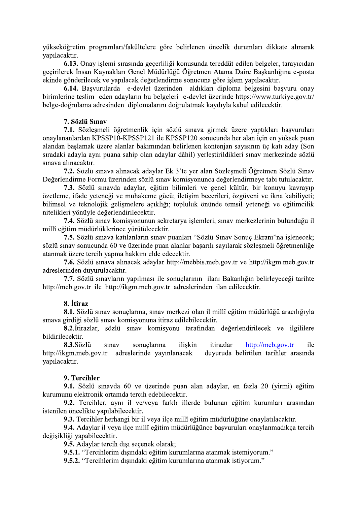yükseköğretim programları/fakültelere göre belirlenen öncelik durumları dikkate alınarak yapılacaktır.

6.13. Onav islemi sırasında gecerliliği konusunda tereddüt edilen belgeler, taravıcıdan geçirilerek İnsan Kaynakları Genel Müdürlüğü Öğretmen Atama Daire Başkanlığına e-posta ekinde gönderilecek ve yapılacak değerlendirme sonucuna göre işlem yapılacaktır.

6.14. Başvurularda e-devlet üzerinden aldıkları diploma belgesini başvuru onay birimlerine teslim eden adayların bu belgeleri e-devlet üzerinde https://www.turkiye.gov.tr/ belge-doğrulama adresinden diplomalarını doğrulatmak kaydıyla kabul edilecektir.

#### 7. Sözlü Sınav

7.1. Sözleşmeli öğretmenlik için sözlü sınava girmek üzere yaptıkları başvuruları onaylananlardan KPSSP10-KPSSP121 ile KPSSP120 sonucunda her alan için en yüksek puan alandan başlamak üzere alanlar bakımından belirlenen kontenjan sayısının üç katı aday (Son sıradaki adayla aynı puana sahip olan adaylar dâhil) yerleştirildikleri sınav merkezinde sözlü sınava alınacaktır.

7.2. Sözlü sınava alınacak adaylar Ek 3'te yer alan Sözleşmeli Öğretmen Sözlü Sınav Değerlendirme Formu üzerinden sözlü sınav komisyonunca değerlendirmeye tabi tutulacaktır.

7.3. Sözlü sınavda adaylar, eğitim bilimleri ve genel kültür, bir konuyu kavrayıp özetleme, ifade yeteneği ve muhakeme gücü; iletişim becerileri, özgüveni ve ikna kabiliyeti; bilimsel ve teknolojik gelişmelere açıklığı; topluluk önünde temsil yeteneği ve eğitimcilik nitelikleri yönüyle değerlendirilecektir.

7.4. Sözlü sınav komisyonunun sekretarya işlemleri, sınav merkezlerinin bulunduğu il millî eğitim müdürlüklerince yürütülecektir.

7.5. Sözlü sınava katılanların sınav puanları "Sözlü Sınav Sonuç Ekranı"na işlenecek; sözlü sınav sonucunda 60 ve üzerinde puan alanlar başarılı sayılarak sözleşmeli öğretmenliğe atanmak üzere tercih yapma hakkını elde edecektir.

7.6. Sözlü sınava alınacak adaylar http://mebbis.meb.gov.tr ve http://ikgm.meb.gov.tr adreslerinden duyurulacaktır.

7.7. Sözlü sınavların yapılması ile sonuçlarının ilanı Bakanlığın belirleyeceği tarihte http://meb.gov.tr ile http://ikgm.meb.gov.tr adreslerinden ilan edilecektir.

### 8. İtiraz

8.1. Sözlü sınav sonuçlarına, sınav merkezi olan il millî eğitim müdürlüğü aracılığıyla sınava girdiği sözlü sınav komisyonuna itiraz edilebilecektir.

8.2. İtirazlar, sözlü sınav komisyonu tarafından değerlendirilecek ve ilgililere bildirilecektir.

8.3. Sözlü sonuclarına iliskin  $http://meb.gov.tr$ sinav itirazlar ile http://ikgm.meb.gov.tr adreslerinde vayinlanacak duyuruda belirtilen tarihler arasında yapılacaktır.

#### 9. Tercihler

9.1. Sözlü sınavda 60 ve üzerinde puan alan adaylar, en fazla 20 (yirmi) eğitim kurumunu elektronik ortamda tercih edebilecektir.

9.2. Tercihler, aynı il ve/veya farklı illerde bulunan eğitim kurumları arasından istenilen öncelikte vapılabilecektir.

9.3. Tercihler herhangi bir il veya ilçe millî eğitim müdürlüğüne onaylatılacaktır.

9.4. Adaylar il veya ilçe millî eğitim müdürlüğünce başvuruları onaylanmadıkça tercih değişikliği yapabilecektir.

9.5. Adaylar tercih dışı seçenek olarak;

9.5.1. "Tercihlerim dışındaki eğitim kurumlarına atanmak istemiyorum."

9.5.2. "Tercihlerim dışındaki eğitim kurumlarına atanmak istiyorum."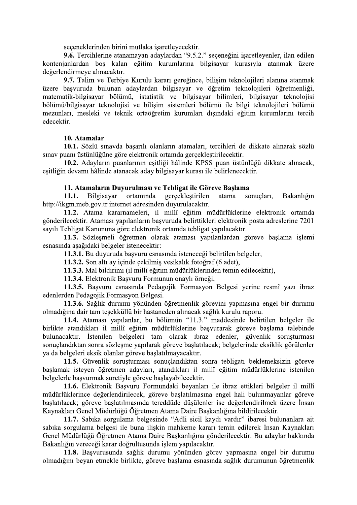seçeneklerinden birini mutlaka işaretleyecektir.

9.6. Tercihlerine atanamayan adaylardan "9.5.2." seçeneğini işaretleyenler, ilan edilen kontenjanlardan bos kalan eğitim kurumlarına bilgisayar kurasıyla atanmak üzere değerlendirmeye alınacaktır.

9.7. Talim ve Terbiye Kurulu kararı gereğince, bilişim teknolojileri alanına atanmak üzere başvuruda bulunan adaylardan bilgisayar ve öğretim teknolojileri öğretmenliği, matematik-bilgisayar bölümü, istatistik ve bilgisayar bilimleri, bilgisayar teknolojisi bölümü/bilgisayar teknolojisi ve bilişim sistemleri bölümü ile bilgi teknolojileri bölümü mezunları, mesleki ve teknik ortaöğretim kurumları dışındaki eğitim kurumlarını tercih edecektir.

#### 10. Atamalar

10.1. Sözlü sınavda başarılı olanların atamaları, tercihleri de dikkate alınarak sözlü sınav puanı üstünlüğüne göre elektronik ortamda gerçekleştirilecektir.

10.2. Adayların puanlarının esitliği hâlinde KPSS puan üstünlüğü dikkate alınacak, eşitliğin devamı hâlinde atanacak aday bilgisayar kurası ile belirlenecektir.

#### 11. Atamaların Duyurulması ve Tebligat ile Göreve Başlama

 $11.1.$ Bilgisayar ortamında gerçekleştirilen atama sonuclari. Bakanlığın http://ikgm.meb.gov.tr internet adresinden duyurulacaktır.

11.2. Atama kararnameleri, il millî eğitim müdürlüklerine elektronik ortamda gönderilecektir. Ataması yapılanların basvuruda belirttikleri elektronik posta adreslerine 7201 sayılı Tebligat Kanununa göre elektronik ortamda tebligat yapılacaktır.

11.3. Sözleşmeli öğretmen olarak ataması yapılanlardan göreve başlama işlemi esnasında aşağıdaki belgeler istenecektir:

11.3.1. Bu duyuruda başvuru esnasında isteneceği belirtilen belgeler,

11.3.2. Son altı ay içinde çekilmiş vesikalık fotoğraf (6 adet),

11.3.3. Mal bildirimi (il millî eğitim müdürlüklerinden temin edilecektir),

11.3.4. Elektronik Başvuru Formunun onaylı örneği,

11.3.5. Başvuru esnasında Pedagojik Formasyon Belgesi yerine resmî yazı ibraz edenlerden Pedagojik Formasyon Belgesi.

11.3.6. Sağlık durumu yönünden öğretmenlik görevini yapmasına engel bir durumu olmadığına dair tam teşekküllü bir hastaneden alınacak sağlık kurulu raporu.

11.4. Ataması yapılanlar, bu bölümün "11.3." maddesinde belirtilen belgeler ile birlikte atandıkları il millî eğitim müdürlüklerine basvurarak göreve baslama talebinde bulunacaktır. İstenilen belgeleri tam olarak ibraz edenler, güvenlik soruşturması sonuçlandıktan sonra sözlesme yapılarak göreve başlatılacak; belgelerinde eksiklik görülenler va da belgeleri eksik olanlar göreve baslatılmayacaktır.

11.5. Güvenlik sorusturması sonuçlandıktan sonra tebligatı beklemeksizin göreve başlamak isteyen öğretmen adayları, atandıkları il millî eğitim müdürlüklerine istenilen belgelerle başvurmak suretiyle göreve başlayabilecektir.

11.6. Elektronik Basvuru Formundaki beyanları ile ibraz ettikleri belgeler il millî müdürlüklerince değerlendirilecek, göreve başlatılmasına engel hali bulunmayanlar göreve başlatılacak; göreve başlatılmasında tereddüde düşülenler ise değerlendirilmek üzere İnsan Kaynakları Genel Müdürlüğü Öğretmen Atama Daire Başkanlığına bildirilecektir.

11.7. Sabika sorgulama belgesinde "Adli sicil kaydı vardır" ibaresi bulunanlara ait sabika sorgulama belgesi ile buna iliskin mahkeme karari temin edilerek İnsan Kaynakları Genel Müdürlüğü Öğretmen Atama Daire Başkanlığına gönderilecektir. Bu adaylar hakkında Bakanlığın vereceği karar doğrultusunda işlem yapılacaktır.

11.8. Başvurusunda sağlık durumu yönünden görev yapmasına engel bir durumu olmadığını beyan etmekle birlikte, göreve başlama esnasında sağlık durumunun öğretmenlik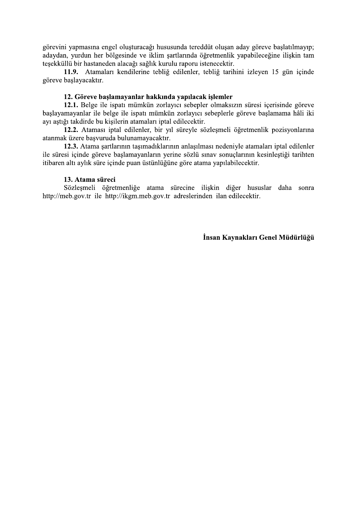görevini yapmasına engel oluşturacağı hususunda tereddüt oluşan aday göreve başlatılmayıp; adaydan, yurdun her bölgesinde ve iklim şartlarında öğretmenlik yapabileceğine ilişkin tam tesekküllü bir hastaneden alacağı sağlık kurulu raporu istenecektir.

11.9. Atamaları kendilerine tebliğ edilenler, tebliğ tarihini izleyen 15 gün içinde göreve başlayacaktır.

#### 12. Göreve başlamayanlar hakkında yapılacak işlemler

12.1. Belge ile ispatı mümkün zorlayıcı sebepler olmaksızın süresi içerisinde göreve başlayamayanlar ile belge ile ispatı mümkün zorlayıcı sebeplerle göreve başlamama hâli iki ayı aştığı takdirde bu kişilerin atamaları iptal edilecektir.

12.2. Ataması iptal edilenler, bir yıl süreyle sözleşmeli öğretmenlik pozisyonlarına atanmak üzere başvuruda bulunamayacaktır.

12.3. Atama şartlarının taşımadıklarının anlaşılması nedeniyle atamaları iptal edilenler ile süresi icinde göreve başlamayanların yerine sözlü sınav sonuçlarının kesinleştiği tarihten itibaren altı aylık süre içinde puan üstünlüğüne göre atama yapılabilecektir.

#### 13. Atama süreci

Sözleşmeli öğretmenliğe atama sürecine ilişkin diğer hususlar daha sonra http://meb.gov.tr ile http://ikgm.meb.gov.tr adreslerinden ilan edilecektir.

İnsan Kaynakları Genel Müdürlüğü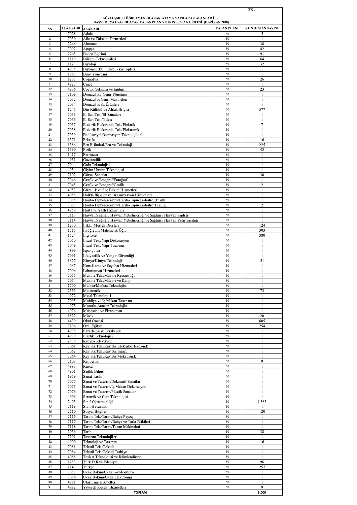|                     |                    |                                                                                                                                |                    | EK-1                    |
|---------------------|--------------------|--------------------------------------------------------------------------------------------------------------------------------|--------------------|-------------------------|
|                     |                    | SÖZLEŞMELİ ÖĞRETMEN OLARAK ATAMA YAPILACAK ALANLAR İLE<br>BAŞVURUYA ESAS OLACAK TABAN PUAN VE KONTENJAN LİSTESİ (HAZİRAN 2018) |                    |                         |
| ${\bf SN}$          | ALAN KODU ALAN ADI |                                                                                                                                | <b>TABAN PUANI</b> | <b>KONTENJAN SAYISI</b> |
| -1                  | 7028               | Adalet                                                                                                                         | 50                 | 5                       |
| $\sqrt{2}$          | 7030               | Aile ve Tüketici Hizmetleri                                                                                                    | 50                 | 1                       |
| 3                   | 2246               | Almanca                                                                                                                        | 50                 | 38                      |
| $\overline{4}$<br>5 | 7092<br>2265       | Arapca<br>Beden Eğitimi                                                                                                        | 50<br>50           | 42<br>91                |
| 6                   | 1119               | Bilişim Teknolojileri                                                                                                          | 50                 | 64                      |
| 7                   | 1123               | Biyoloji                                                                                                                       | 50                 | 32                      |
| 8                   | 4935               | Biyomedikal Cihaz Teknolojileri                                                                                                | 50                 | $\mathbf{1}$            |
| 9                   | 1963               | Büro Yönetimi                                                                                                                  | 50                 | -1                      |
| 10<br>11            | 1207<br>4927       | Coğrafya<br>Cince                                                                                                              | 50<br>50           | 26<br>1                 |
| 12                  | 4936               | Çocuk Gelişimi ve Eğitimi                                                                                                      | 50                 | 23                      |
| 13                  | 7109               | Denizcilik / Gemi Yönetimi                                                                                                     | 50                 | 1                       |
| 14                  | 7032               | Denizcilik/Gemi Makineleri                                                                                                     | 50                 | -1                      |
| 15<br>16            | 7034<br>1245       | Denizcilik/Su Ürünleri<br>Din Kültürü ve Ahlak Bilgisi                                                                         | 50<br>50           | 1<br>577                |
| 17                  | 7035               | El San.Tek./El Sanatları                                                                                                       | 50                 | $\mathbf{1}$            |
| 18                  | 7036               | El San. Tek./Nakış                                                                                                             | 50                 | 1                       |
| 19                  | 7037               | Elektrik-Elektronik Tek./Elektrik                                                                                              | 50                 | 7                       |
| 20                  | 7038               | Elektrik-Elektronik Tek./Elektronik                                                                                            | 50                 | 1                       |
| 21<br>$22\,$        | 7039<br>1371       | Endüstriyel Otomasyon Teknolojileri<br>Felsefe                                                                                 | 50<br>50           | 1<br>16                 |
| 23                  | 1386               | Fen Bilimleri/Fen ve Teknoloji                                                                                                 | 50                 | 225                     |
| 24                  | 1390               | Fizik                                                                                                                          | 50                 | 43                      |
| 25                  | 1417               | Fransızca                                                                                                                      | 50                 | 1                       |
| 26                  | 4951               | Gazetecilik                                                                                                                    | 50                 | 1                       |
| 27<br>28            | 7044<br>4954       | Gıda Teknolojisi<br>Giyim Üretim Teknolojisi                                                                                   | 50<br>50           | $\mathbf{I}$<br>1       |
| 29                  | 7102               | Görsel Sanatlar                                                                                                                | 50                 | 30                      |
| 30                  | 7046               | Grafik ve Fotoğraf/Fotoğraf                                                                                                    | 50                 | 1                       |
| 31                  | 7045               | Grafik ve Fotoğraf/Grafik                                                                                                      | 50                 | $\overline{2}$          |
| 32<br>33            | 4957<br>4958       | Güzellik ve Saç Bakım Hizmetleri<br>Halkla İlişkiler ve Organizasyon Hizmetleri                                                | 50<br>50           | $\mathbf{I}$<br>1       |
| 34                  | 7098               | Harita-Tapu-Kadastro/Harita-Tapu-Kadastro Hukuk                                                                                | 50                 | $\mathbf{1}$            |
| 35                  | 7097               | Harita-Tapu-Kadastro/Harita-Tapu-Kadastro Tekniği                                                                              | 50                 | $\overline{2}$          |
| 36                  | 4959               | Hasta ve Yaşlı Hizmetleri                                                                                                      | 50                 | 1                       |
| 37<br>38            | 7113               | Hayvan Sağlığı / Hayvan Yetiştiriciliği ve Sağlığı / Hayvan Sağlığı                                                            | 50<br>50           | $\mathbf{I}$<br>1       |
| 39                  | 7114<br>1230       | Hayvan Sağlığı / Hayvan Yetiştiriciliği ve Sağlığı / Hayvan Yetiştiriciliği<br>İ.H.L. Meslek Dersleri                          | 50                 | 124                     |
| 40                  | 1715               | İlköğretim Matematik Öğr.                                                                                                      | 50                 | 303                     |
| 41                  | 1524               | Ingilizce                                                                                                                      | 50                 | 380                     |
| 42                  | 7050               | İnşaat Tek./Yapı Dekorasyon                                                                                                    | 50                 | $\mathbf{I}$            |
| 43<br>44            | 7049<br>4899       | İnşaat Tek./Yapı Tasarımı<br><i>ispanyolca</i>                                                                                 | 50<br>50           | $\mathbf{1}$<br>-1      |
| 45                  | 7091               | İtfaiyecilik ve Yangın Güvenliği                                                                                               | 50                 | 1                       |
| 46                  | 1627               | Kimya/Kimya Teknolojisi                                                                                                        | 50                 | 51                      |
| 47<br>48            | 4967               | Konaklama ve Seyahat Hizmetleri                                                                                                | 50<br>50           | $\mathbf{I}$            |
| 49                  | 7096<br>7055       | Laboratuvar Hizmetleri<br>Makine Tek./Makine Ressamlığı                                                                        | 50                 | 1<br>-1                 |
| 50                  | 7054               | Makine Tek./Makine ve Kalıp                                                                                                    | 50                 | 1                       |
| 51                  | 1700               | Matbaa/Matbaa Teknolojisi                                                                                                      | 50                 | 1                       |
| 52<br>53            | 2353<br>4972       | Matematik<br>Metal Teknolojisi                                                                                                 | 50<br>50           | 73<br>1                 |
| 54                  | 7095               | Mobilya ve İç Mekan Tasarımı                                                                                                   | 50                 | -1                      |
| 55                  | 4975               | Motorlu Araçlar Teknolojisi                                                                                                    | 50                 | 1                       |
| 56                  | 4976               | Muhasebe ve Finansman                                                                                                          | 50                 | $\mathbf{1}$            |
| 57<br>58            | 1822<br>4439       | Müzik<br>Okul Öncesi                                                                                                           | 50<br>50           | 20<br>605               |
| 59                  | 7106               | Özel Eğitim                                                                                                                    | 50                 | 254                     |
| 60                  | 4978               | Pazarlama ve Perakende                                                                                                         | 50                 | 1                       |
| 61                  | 4979               | Plastik Teknolojisi                                                                                                            | 50                 | 1                       |
| 62<br>63            | 2838<br>7061       | Radyo-Televizyon<br>Ray.Sis.Tek./Ray.Sis.Elektrik-Elektronik                                                                   | 50<br>50           | 1<br>$\mathbf{1}$       |
| 64                  | 7062               | Ray.Sis.Tek./Ray.Sis.İnşaat                                                                                                    | 50                 | -1                      |
| 65                  | 7064               | Ray.Sis.Tek./Ray.Sis.Mekatronik                                                                                                | 50                 | 1                       |
| 66                  | 7103               | Rehberlik                                                                                                                      | 50                 | 9                       |
| 67<br>68            | 4883               | Rusça                                                                                                                          | 50<br>50           | 1                       |
| 69                  | 4901<br>1959       | Sağlık Bilgisi<br>Sanat Tarihi                                                                                                 | 50                 | 1<br>-1                 |
| 70                  | 7077               | Sanat ve Tasarım/Dekoratif Sanatlar                                                                                            | 50                 | 1                       |
| 71                  | 7075               | Sanat ve Tasarım/İç Mekan Dekorasyon                                                                                           | 50                 | 1                       |
| 72<br>73            | 7076<br>4996       | Sanat ve Tasarım/Plastik Sanatlar                                                                                              | 50<br>50           | $\mathbf{1}$<br>1       |
| 74                  | 2403               | Seramik ve Cam Teknolojisi<br>Sınıf Öğretmenliği                                                                               | 50                 | 1.363                   |
| 75                  | 7119               | Sivil Havacılık                                                                                                                | 50                 | 1                       |
| 76                  | 2510               | Sosyal Bilgiler                                                                                                                | 50                 | 120                     |
| 77                  | 7116               | Tarım Tek./Tarım/Bahçe Peyzaj                                                                                                  | 50<br>50           | 1                       |
| 78<br>79            | 7117<br>7118       | Tarım Tek./Tarım/Bahçe ve Tarla Bitkileri<br>Tarım Tek./Tarım/Tarım Makineleri                                                 | 50                 | $\mathbf{1}$<br>-1      |
| 80                  | 2036               | Tarih                                                                                                                          | 50                 | 38                      |
| 81                  | 7101               | Tasarım Teknolojileri                                                                                                          | 50                 | $\mathbf{1}$            |
| 82<br>83            | 4900<br>7081       | Teknoloji ve Tasarım<br>Tekstil Tek./Tekstil                                                                                   | 50<br>50           | 16<br>$\mathbf{1}$      |
| 84                  | 7084               | Tekstil Tek./Tekstil Terbiye                                                                                                   | 50                 | -1                      |
| 85                  | 4988               | Tesisat Teknolojisi ve İklimlendirme                                                                                           | 50                 | 1                       |
| 86                  | 1283               | Türk Dili ve Edebiyatı                                                                                                         | 50                 | 96                      |
| 87<br>88            | 2143<br>7087       | Türkçe<br>Uçak Bakım/Uçak Gövde-Motor                                                                                          | 50<br>50           | 257<br>1                |
| 89                  | 7086               | Uçak Bakımı/Uçak Elektroniği                                                                                                   | 50                 | -1                      |
| 90                  | 4991               | Ulastırma Hizmetleri                                                                                                           | 50                 | 1                       |
| 91                  | 4992               | Yiyecek İçecek Hizmetleri<br><b>TODIAM</b>                                                                                     | 50                 | 9<br>5.000              |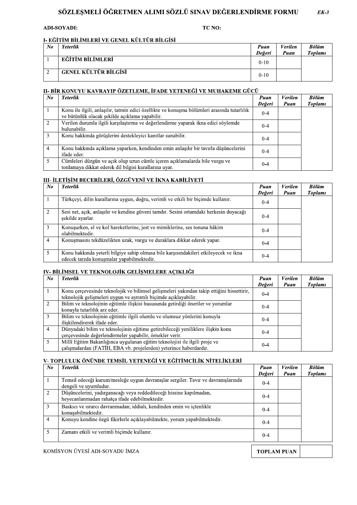#### SOZLEŞMELI OGRETMEN ALIMI SOZLU SINAV DEGERLENDIRME FORMU  $EK-3$

#### ADI-SOYADI: TC NO:

#### <u>I- EGITIM BILIMLERI VE GENEL KULTUR BILGISI</u>

|           | <b>ADI-SOYADI:</b>                          | TC NO: |                |                        |                         |
|-----------|---------------------------------------------|--------|----------------|------------------------|-------------------------|
|           |                                             |        |                |                        |                         |
|           | I- EĞİTİM BİLİMLERİ VE GENEL KÜLTÜR BİLGİSİ |        |                |                        |                         |
| $N\sigma$ | <b>Yeterlik</b>                             |        | Puan<br>Değeri | <b>Verilen</b><br>Puan | <b>Bölüm</b><br>Toplami |
|           | EĞİTİM BİLİMLERİ                            |        | $0 - 10$       |                        |                         |
|           | <b>GENEL KÜLTÜR BİLGİSİ</b>                 |        | $0 - 10$       |                        |                         |

# <u>II- BIR KONUYU KAVRAYIP OZETLEME, IFADE YETENEGI VE MUHAKEME GUÇU</u>

| No.            | Yeterlik                                                                                                                                      | Puan<br>Değeri | <i>Verilen</i><br>Puan | Bölüm<br>Toplami               |
|----------------|-----------------------------------------------------------------------------------------------------------------------------------------------|----------------|------------------------|--------------------------------|
|                | EĞİTİM BİLİMLERİ                                                                                                                              | $0 - 10$       |                        |                                |
| $\overline{2}$ | <b>GENEL KÜLTÜR BİLGİSİ</b>                                                                                                                   | $0 - 10$       |                        |                                |
|                | II- BİR KONUYU KAVRAYIP ÖZETLEME, İFADE YETENEĞİ VE MUHAKEME GÜCÜ                                                                             |                |                        |                                |
| $\mathbf{N}$ o | <b>Yeterlik</b>                                                                                                                               | Puan<br>Değeri | Verilen<br>Puan        | <b>Bölüm</b><br><b>Toplami</b> |
|                | Konu ile ilgili, anlaşılır, tatmin edici özellikte ve konuşma bölümleri arasında tutarlılık<br>ve bütünlük olacak şekilde açıklama yapabilir. | $0 - 4$        |                        |                                |
| 2              | Verilen durumla ilgili karşılaştırma ve değerlendirme yaparak ikna edici söylemde<br>bulunabilir.                                             | $0 - 4$        |                        |                                |
| 3              | Konu hakkında görüşlerini destekleyici kanıtlar sunabilir.                                                                                    | $0 - 4$        |                        |                                |
| 4              | Konu hakkında açıklama yaparken, kendinden emin anlasılır bir tavırla düşüncelerini<br>ifade eder.                                            | $0 - 4$        |                        |                                |
| 5              | Cümleleri düzgün ve açık olup uzun cümle içeren açıklamalarda bile vurgu ve<br>tonlamaya dikkat ederek dil bilgisi kurallarına uyar.          | $0 - 4$        |                        |                                |

# <u>III- ILETIŞIM BECERILERI, OZGUVENI VE IKNA KABILIYETI —</u>

| 3  | Konu hakkında görüşlerini destekleyici kanıtlar sunabilir.                                                                           | $0 - 4$        |                        |                         |
|----|--------------------------------------------------------------------------------------------------------------------------------------|----------------|------------------------|-------------------------|
| 4  | Konu hakkında açıklama yaparken, kendinden emin anlaşılır bir tavırla düşüncelerini<br>ifade eder.                                   | $0 - 4$        |                        |                         |
| 5  | Cümleleri düzgün ve açık olup uzun cümle içeren açıklamalarda bile vurgu ve<br>tonlamaya dikkat ederek dil bilgisi kurallarına uyar. | $0 - 4$        |                        |                         |
|    | III- İLETİŞİM BECERİLERİ, ÖZGÜVENİ VE İKNA KABİLİYETİ                                                                                |                |                        |                         |
| No | <b>Yeterlik</b>                                                                                                                      | Puan<br>Değeri | <b>Verilen</b><br>Puan | <b>Bölüm</b><br>Toplami |
|    | Türkçeyi, dilin kurallarına uygun, doğru, verimli ve etkili bir biçimde kullanır.                                                    | $0 - 4$        |                        |                         |
| 2  | Sesi net, açık, anlaşılır ve kendine güveni tamdır. Sesini ortamdaki herkesin duyacağı<br>sekilde ayarlar.                           | $0 - 4$        |                        |                         |
| 3  | Konuşurken, el ve kol hareketlerine, jest ve mimiklerine, ses tonuna hâkim<br>olabilmektedir.                                        | $0 - 4$        |                        |                         |
| 4  | Konuşmasını tekdüzelikten uzak, vurgu ve duraklara dikkat ederek yapar.                                                              | $0 - 4$        |                        |                         |
| 5  | Konu hakkında yeterli bilgiye sahip olmasa bile karşısındakileri etkileyecek ve ikna                                                 | $0 - 4$        |                        |                         |

#### <u>IV- BILIMSEL VE TEKNOLOJIK GELIŞMELERE AÇIKLIGI —</u>

| 3  | Konusurken, et ve kol hareketlerine, jest ve mimiklerine, ses tonuna häkim<br>olabilmektedir.                                                                 | $0 - 4$        |                        |                                |
|----|---------------------------------------------------------------------------------------------------------------------------------------------------------------|----------------|------------------------|--------------------------------|
| 4  | Konuşmasını tekdüzelikten uzak, vurgu ve duraklara dikkat ederek yapar.                                                                                       | $0 - 4$        |                        |                                |
| 5  | Konu hakkında yeterli bilgiye sahip olmasa bile karşısındakileri etkileyecek ve ikna<br>edecek tarzda konuşmalar yapabilmektedir.                             | $0 - 4$        |                        |                                |
|    | IV- BİLİMSEL VE TEKNOLOJİK GELİŞMELERE AÇIKLIĞI                                                                                                               |                |                        |                                |
| No | <b>Yeterlik</b>                                                                                                                                               | Puan<br>Değeri | <b>Verilen</b><br>Puan | <b>Bölüm</b><br><b>Toplami</b> |
|    | Konu çerçevesinde teknolojik ve bilimsel gelişmeleri yakından takip ettiğini hissettirir,<br>teknolojik gelişmeleri uygun ve ayrıntılı biçimde açıklayabilir. | $0 - 4$        |                        |                                |
| 2  | Bilim ve teknolojinin eğitimle ilişkisi hususunda getirdiği öneriler ve yorumlar<br>konuyla tutarlılık arz eder.                                              | $0 - 4$        |                        |                                |
| 3  | Bilim ve teknolojinin eğitimle ilgili olumlu ve olumsuz yönlerini konuyla<br>ilişkilendirerek ifade eder.                                                     | $0 - 4$        |                        |                                |
| 4  | Dünyadaki bilim ve teknolojinin eğitime getirebileceği yeniliklere ilişkin konu<br>çerçevesinde değerlendirmeler yapabilir, örnekler verir.                   | $0 - 4$        |                        |                                |
| 5  | Millî Eğitim Bakanlığınca uygulanan eğitim teknolojisi ile ilgili proje ve                                                                                    | $0 - 4$        |                        |                                |

## <u>V- TOPLULUK ONUNDE TEMSIL YETENEGI VE EGITIMCILIK NITELIKLERI</u>

|         | Bilim ve teknolojinin eğitimle ilgili olumlu ve olumsuz yonlerini konuyla<br>iliskilendirerek ifade eder.                                       | $0 - 4$        |                 |                                |
|---------|-------------------------------------------------------------------------------------------------------------------------------------------------|----------------|-----------------|--------------------------------|
| 4       | Dünyadaki bilim ve teknolojinin eğitime getirebileceği yeniliklere ilişkin konu<br>çerçevesinde değerlendirmeler yapabilir, örnekler verir.     | $0 - 4$        |                 |                                |
| 5       | Millî Eğitim Bakanlığınca uygulanan eğitim teknolojisi ile ilgili proje ve<br>çalışmalardan (FATİH, EBA vb. projelerden) yeterince haberdardır. | $0 - 4$        |                 |                                |
|         | V-TOPLULUK ÖNÜNDE TEMSİL YETENEĞİ VE EĞİTİMCİLİK NİTELİKLERİ                                                                                    |                |                 |                                |
| $N_{0}$ | Yeterlik                                                                                                                                        | Puan<br>Değeri | Verilen<br>Puan | <b>Bölüm</b><br><b>Toplami</b> |
|         | Temsil edeceği kurum/mesleğe uygun davranışlar sergiler. Tavır ve davranışlarında<br>dengeli ve uyumludur.                                      | $0 - 4$        |                 |                                |
|         |                                                                                                                                                 |                |                 |                                |
| 2       | Düşüncelerini, yadırganacağı veya reddedileceği hissine kapılmadan,<br>heyecanlanmadan rahatça ifade edebilmektedir.                            | $0 - 4$        |                 |                                |
| 3       | Baskıcı ve ısrarcı davranmadan; iddialı, kendinden emin ve içtenlikle<br>konusabilmektedir.                                                     | $0 - 4$        |                 |                                |
| 4       | Konuyu kendine özgü fikirlerle açıklayabilmekte, yorum yapabilmektedir.                                                                         | $0 - 4$        |                 |                                |
| 5       | Zamanı etkili ve verimli biçimde kullanır.                                                                                                      | $0 - 4$        |                 |                                |

{ ¡D¡ ¢ ¢£